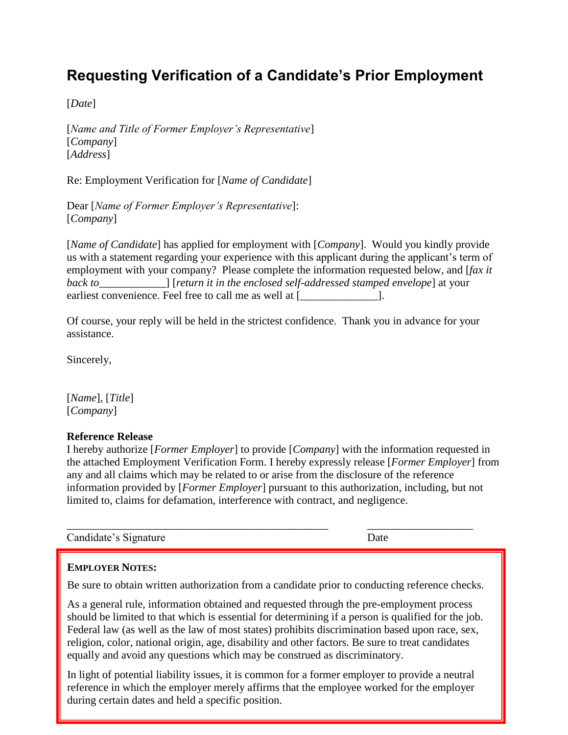## **Requesting Verification of a Candidate's Prior Employment**

[*Date*]

[*Name and Title of Former Employer's Representative*] [*Company*] [*Address*]

Re: Employment Verification for [*Name of Candidate*]

Dear [*Name of Former Employer's Representative*]: [*Company*]

[*Name of Candidate*] has applied for employment with [*Company*]. Would you kindly provide us with a statement regarding your experience with this applicant during the applicant's term of employment with your company? Please complete the information requested below, and [*fax it back to\_\_\_\_\_\_\_\_\_\_\_\_*] [*return it in the enclosed self-addressed stamped envelope*] at your earliest convenience. Feel free to call me as well at [

Of course, your reply will be held in the strictest confidence. Thank you in advance for your assistance.

Sincerely,

[*Name*], [*Title*] [*Company*]

## **Reference Release**

I hereby authorize [*Former Employer*] to provide [*Company*] with the information requested in the attached Employment Verification Form. I hereby expressly release [*Former Employer*] from any and all claims which may be related to or arise from the disclosure of the reference information provided by [*Former Employer*] pursuant to this authorization, including, but not limited to, claims for defamation, interference with contract, and negligence.

Candidate's Signature Date

## **EMPLOYER NOTES:**

Be sure to obtain written authorization from a candidate prior to conducting reference checks.

\_\_\_\_\_\_\_\_\_\_\_\_\_\_\_\_\_\_\_\_\_\_\_\_\_\_\_\_\_\_\_\_\_\_\_\_\_\_\_\_\_\_\_\_\_\_\_ \_\_\_\_\_\_\_\_\_\_\_\_\_\_\_\_\_\_\_

As a general rule, information obtained and requested through the pre-employment process should be limited to that which is essential for determining if a person is qualified for the job. Federal law (as well as the law of most states) prohibits discrimination based upon race, sex, religion, color, national origin, age, disability and other factors. Be sure to treat candidates equally and avoid any questions which may be construed as discriminatory.

In light of potential liability issues, it is common for a former employer to provide a neutral reference in which the employer merely affirms that the employee worked for the employer during certain dates and held a specific position.